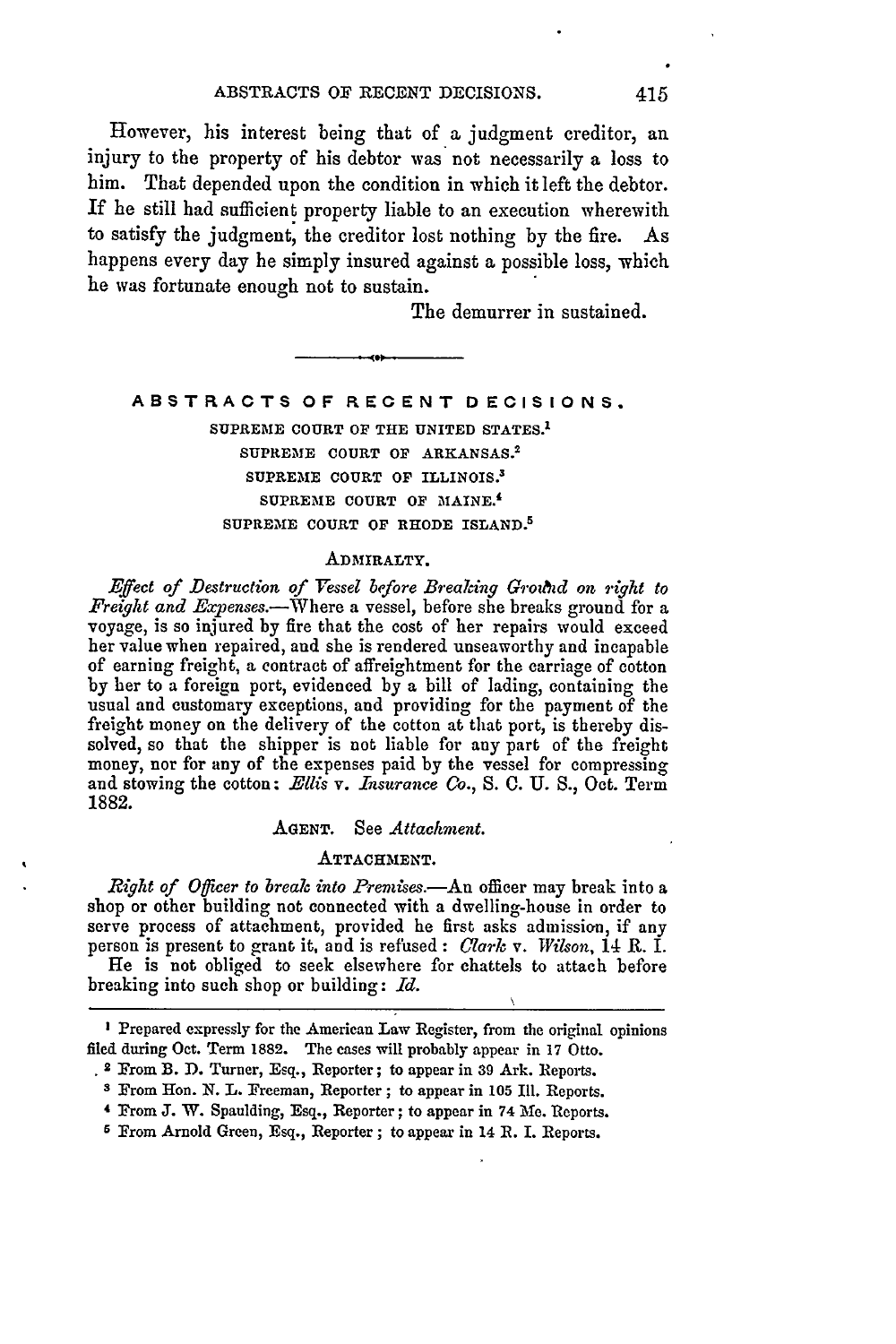However, his interest being that of a judgment creditor, an injury to the property of his debtor was not necessarily a loss to him. That depended upon the condition in which it left the debtor. If he still had sufficient property liable to an execution wherewith to satisfy the judgment, the creditor lost nothing by the fire. As happens every day he simply insured against a possible loss, which he was fortunate enough not to sustain.

The demurrer in sustained.

# **ABSTRACTS OF RECENT DECISIONS. SUPREME COURT OF THE UNITED STATES.' SUPREME COURT OF ARKANSAS. <sup>2</sup> SUPREME COURT OF** ILLINOIS.3 **SUPREME COURT OF MAINE.' SUPREME COURT OF RHODE ISLAND. <sup>5</sup>**

### **ADMIRALTY.**

*Effect of Destruction of Vessel before Breaking Grouhd on right to Freight and Expenses.-Where* a vessel, before she breaks ground for a voyage, is so injured by fire that the cost of her repairs would exceed her value when repaired, and she is rendered unseaworthy and incapable of earning freight, a contract of affreightment for the carriage of cotton by her to a foreign port, evidenced **by** a bill of lading, containing the usual and customary exceptions, and providing for the payment of the freight money on the delivery of the cotton at that port, is thereby dissolved, so that the shipper is not liable for any part of the freight money, nor for any of the expenses paid by the vessel for compressing and stowing the cotton: *Ellis v. Insurance Co., S.* **0.** U. S., Oct. Term 1882.

### **AGENT.** See *Attachment.*

### **ATTACHMENT.**

*Right of Officer to break into Premises.*—An officer may break into a shop or other building not connected with a dwelling-house in order to serve process of attachment, provided he first asks admission, if any person is present to grant it, and is refused: *Clark v. Wilson,* 14 R. I. He is not obliged to seek elsewhere for chattels to attach before

breaking into such shop or building: *Id.*

**I** Prepared expressly for the American Law Register, from the original opinions filed during Oct. Term **1882.** The cases will probably appear in 17 Otto.

<sup>2</sup> From B. **D.** Turner, Esq., Reporter; to appear in **39** Ark. Reports.

*S* From Hon. N. L. Freeman, Reporter; to appear in 105 Ill. Reports.

**<sup>4</sup>** From **J.** W. Spaulding, Esq., Reporter; to appear in 74 **Me.** Reports.

**<sup>6</sup>** From Arnold Green, Esq., Reporter; to appear in 14 R. **I.** Reports.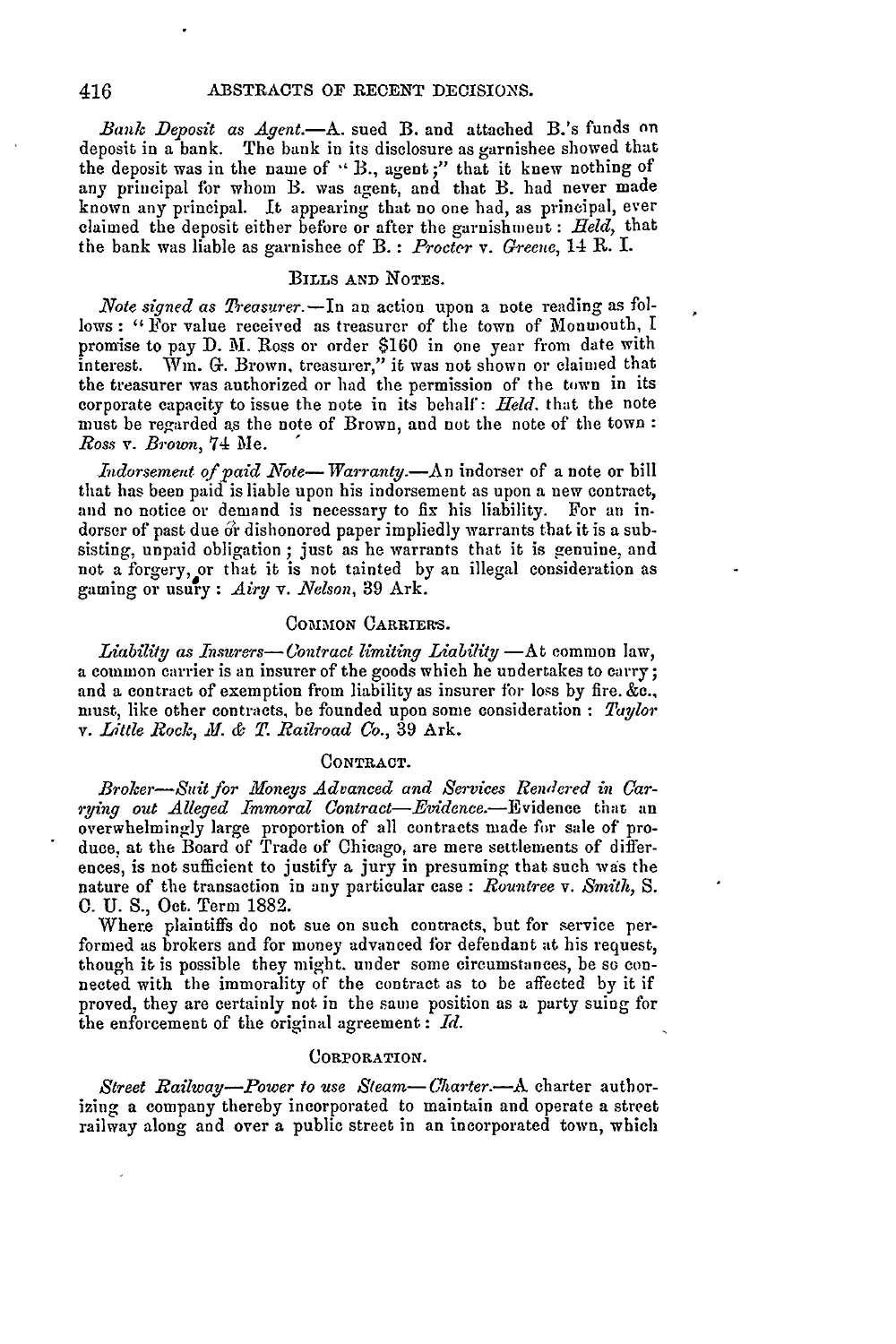*Bank Deposit as Agent.*—A. sued B. and attached B.'s funds on deposit in a bank. The bank in its disclosure as garnishee showed that the deposit was in the name of **-'** B., agent;" that it knew nothing of any principal for whom B. was agent, and that B. had never made known any principal. It appearing that no one had, as principal, ever claimed the deposit either before or after the garnishment : *Held,* that the bank was liable as garnishee of B. : *Procter v. Greene,* 14 R. I.

# **BILLS AND NOTES.**

*.Note signed as Treasurer.-In* an action upon a note reading as follows: "For value received as treasurer of the town of Monmouth, I promise to pay D. M. Ross or order \$160 in one year from date with interest. Win. *G.* Brown, treasurer," it was not shown or claimed that the treasurer was authorized or had the permission of the town in its corporate capacity to issue the note in its behalf': *Held.* that the note must be regarded as the note of Brown, and not the note of the town: *Ross v. Brown,* 74 Me.

*Indorsement of paid Note*— *Warranty.*—An indorser of a note or bill that has been paid is liable upon his indorsement as upon a new contract, and no notice or demand is necessary to fix his liability. For an indorser of past due or dishonored paper impliedly warrants that it is a subsisting, unpaid obligation ; just as he warrants that it is genuine, and not a forgery, or that it is not tainted by an illegal consideration as gaming or usury : *Airy v. Velson,* 39 Ark.

# COMMON CARRIERS.

*Liability as Insurers—Contract limiting Liability* —At common law, a common carrier is an insurer of the goods which he undertakes to carry; and a contract of exemption from liability as insurer for loss by fire. &c., must, like other contracts, be founded upon some consideration : *Taylor v. Little Rock, X!. & . Railroad Co.,* 39 Ark.

#### **CONTRACT.**

*Broker-Suit for Moneys Advanced and Services Reendered in Carrying out Alleged Immoral Contract-Evidence.-Evidence* that an overwhelmingly large proportion of all contracts made for sale of produce, at the Board of Trade of Chicago, are mere settlements of differences, is not sufficient to justify a jury in presuming that such was the nature of the transaction in any particular case : *Rountree* v. *Smith, S.* **0.** U. S., Oct. Term 1882.

Where plaintiffs do not sue on such contracts, but for service performed as brokers and for money advanced for defendant at his request, though it is possible they might. under some circumstances, be so connected with the immorality of the contract as to be affected by it if proved, they are certainly not in the same position as a party suing for the enforcement of the original agreement : *Id.*

#### CORPORATION.

*Street Railway-Power to use Steam-Charter.*--A charter authorizing a company thereby incorporated to maintain and operate a street railway along and over a public street in an incorporated town, which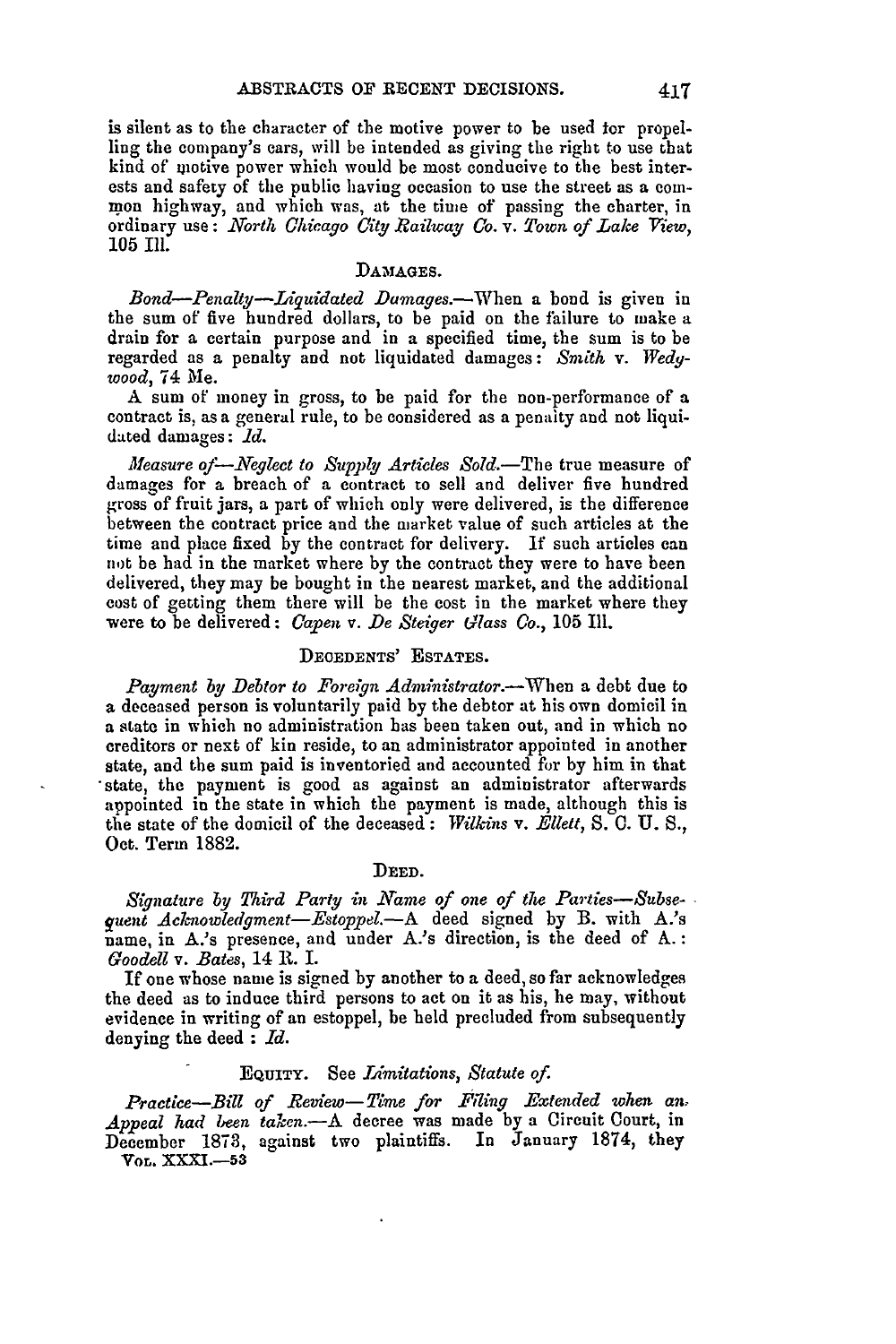is silent as to the character of the motive power to be used **ior** propelling the company's cars, will be intended as giving the right to use that kind of motive power which would be most conducive to the best interests and safety of the public having occasion to use the street as a com**mon** highway, and which was, at the time of passing the charter, in ordinary use: *North* Chicago *City Railway Co. v. Town of Lake View,* 105 Ill.

# **DAMAGES.**

*Bond-Penalty-Liguidated Damages.-When* a bond is given in the sum of five hundred dollars, to be paid on the failure to make a drain for a certain purpose and in a specified time, the sum is to be regarded as a penalty and not liquidated damages: *Smith* v. *Wedywood,* 74 Me.

A sum of money in gross, to be paid for the non-performance of a contract is, as a general rule, to be considered as a penalty and not liquidated damages: *1d.*

*Measure of-Neglect to Supply Articles* Sold.-The true measure of damages for a breach of a contract to sell and deliver five hundred gross of fruit jars, a part of which only were delivered, is the difference between the contract price and the market value of such articles at the time and place fixed by the contract for delivery. If such articles can not be had in the market where by the contract they were to have been delivered, they may be bought in the nearest market, and the additional cost of getting them there will be the cost in the market where they were to be delivered: *Capen v. De Steiger Glass Co.,* **105** Ill.

# **DEOEDENTS' ESTATES.**

*Payment by Debtor to Foreign Administrator.-When* a debt due to **a** deceased person is voluntarily paid by the debtor at his own domicil in a state in which no administration has been taken out, and in which no creditors or next of kin reside, to an administrator appointed in another state, and the sum paid is inventoried and accounted for by him in that 'state, the payment is good as against an administrator afterwards appointed in the state in which the payment is made, although this is the state of the domicil of the deceased: *Wilkins v. Ellett, S.* C. U. *S.,* Oct. Term 1882.

### **DEED.**

*Signature by Third Party in Name of one of the Parties-Subsequent Acknowledgment-Estoppel.-A* deed signed by B. with A.'s name, in A.'s presence, and under A.'s direction, is the deed of **A.:** *Goodell v. Bates,* 14 R. I.

If one whose name is signed by another to a deed, so far acknowledges the deed as to induce third persons to act on it as his, he may, without evidence in writing of an estoppel, be held precluded from subsequently denying the deed **:** *Id.*

# **EQUITY.** See *Limitations, Statute of.*

*Practice-Bill of Review-Time for Fiing Extended when an, Appeal had been taken.-A* decree was made by a Circuit Court, in December 1873, against two plaintiffs. In January **1874,** they **YoL. XXXI.-53**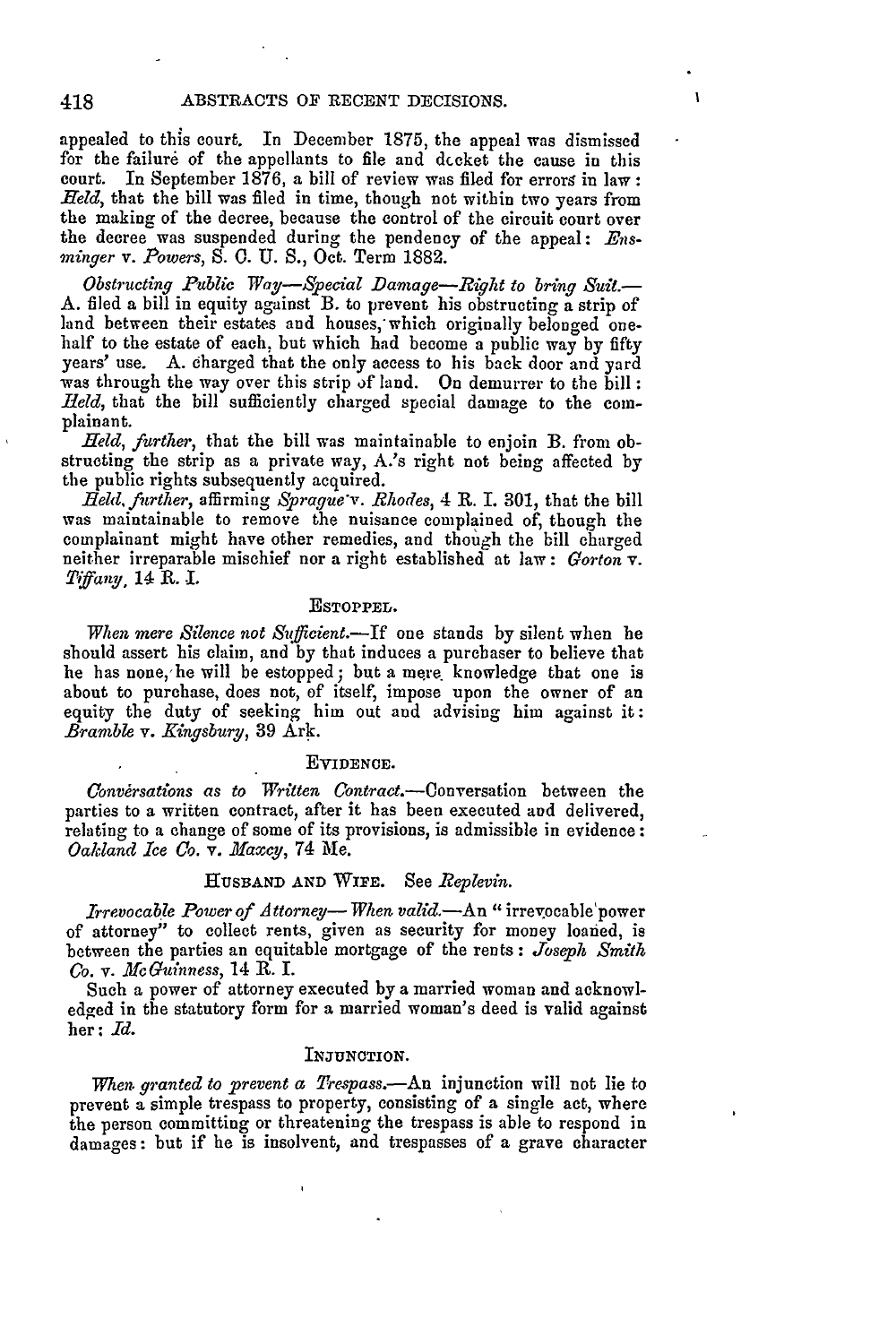418

appealed to this court. In December 1875, the appeal was dismissed for the failure of the appellants to file and dccket the cause in this court. In September 1876, a bill of review was filed for errors in law: *Held,* that the bill was filed in time, though not within two years from the making of the decree, because the control of the circuit court over the decree was suspended during the pendency of the appeal: *Ensminger v. Powers, S.* **0.** U. S., Oct. Term 1882.

*Obstructing Public Way-Special Damage-Right to bring Suit.-* A. filed a bill in equity against B. to prevent his obstructing a strip of land between their estates and houses, which originally belonged onehalf to the estate of each, but which had become a public way by fifty years' use. A. charged that the only access to his back door and yard was through the way over this strip of land. On demurrer to the bill: *.Held,* that the bill sufficiently charged special damage to the complainant.

*Held, further,* that the bill was maintainable to enjoin B. from obstructing the strip as a private way, A.'s right not being affected by the public rights subsequently acquired.

*.Reld,further,* affirming *Sprague'v. Rhodes,* 4 R. I. **301,** that the bill was maintainable to remove the nuisance complained **of,** though the complainant might have other remedies, and though the bill charged neither irreparable mischief nor a right established at law: *Gorton v. Tiffany,* 14 **R.** *..*

#### ESTOPPEL.

*When mere Silence not Sufficient.-If* one stands **by** silent when he should assert his claim, and by that induces a purchaser to believe that he has none, he will be estopped; but a mere knowledge that one is about to purchase, does not, of itself, impose upon the owner of an equity the duty of seeking him out and advising him against it: *Bramble v. Kingsbury,* **39** Ark.

#### EVIDENCE.

*Conversations as to Written* Contract.-Conversation between the parties to a written contract, after it has been executed and delivered, relating to a change of some of its provisions, is admissible in evidence: *Oakland Ice Co.* v. Maxcy, 74 Me.

### **HUSBAND AND** WIFE. See *Replevin.*

Irrevocable Power of Attorney—When valid.—An "irrevocable power of attorney" to collect rents, given as security for money loaned, is between the parties an equitable mortgage of the rents : *Joseph Smith Co. v. McGuinness,* 14 **R.** I.

Such a power of attorney executed by a married woman and acknowledged in the statutory form for a married woman's deed is valid against her: *Id.*

### **INJUNCTION.**

*When. granted to prevent a Trespass.-An* injunction will not lie to prevent a simple trespass to property, consisting of a single act, where the person committing or threatening the trespass is able to respond in damages: but if he is insolvent, and trespasses of a grave character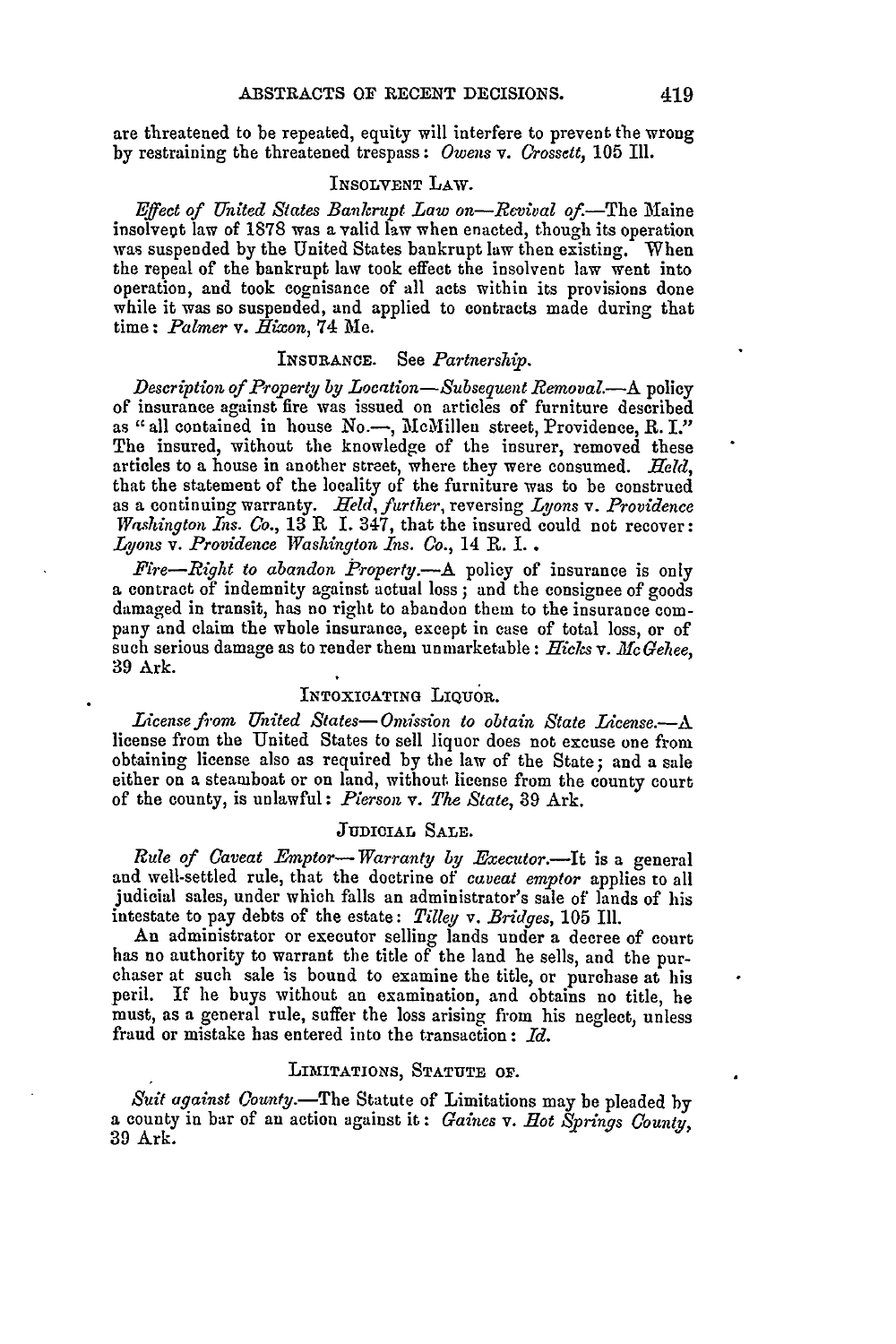are threatened to be repeated, equity will interfere to prevent the wrong by restraining the threatened trespass: *Owens v. Crossett,* **105** Ill.

# INSOLVENT LAW.

*Effect of United States Bankrupt Law on-Revival of.*-The Maine insolvept law of 1878 was a valid law when enacted, though its operation was suspended by the United States bankrupt law then existing. When the repeal of the bankrupt law took effect the insolvent law went into operation, and took cognisance of all acts within its provisions done while it was so suspended, and applied to contracts made during that time: *Palmer* v. *Hixcon,* 74 Me.

### **INSURANCE.** See *Partnership.*

*Description of Property by Location-Subsequent Removal.*-A policy of insurance against fire was issued on articles of furniture described as "all contained in house  $No.$ , McMillen street, Providence, R. I." The insured, without the knowledge of the insurer, removed these articles to a house in another street, where they were consumed. *Held,* that the statement of the locality of the furniture was to be construed as a continuing warranty. *Held, further,* reversing *Lyons* v. *Providence Washington Ins. Co.,* 13 R I. 347, that the insured could not recover: *Lyons v. Providence Washington Ins. Co.,* 14 R. **I..**

*Fire-Right to abandon Property.-A* policy of insurance is only a contract of indemnity against actual loss **;** and the consignee of goods damaged in transit, has no right to abandon them to the insurance company and claim the whole insurance, except in case of total loss, or of such serious damage as to render them unmarketable: *Hicks* v. *McGehee,* 39 Ark.

# INTOXICATING LIQUOR.

*License from United States- Omission to obtain State License.-A* license from the United States to sell liquor does not excuse one from obtaining license also as required **by** the law of the State; and a sale either on a steamboat or on land, without license from the county court of the county, is unlawful: *Pierson v. The State,* **39** Ark.

# JUDICIAL SALE.

*Rule of Caveat Emptor- Warranty by Executor.-It* is a general and well-settled rule, that the doctrine of *caveat emptor* applies to all judicial sales, under which falls an administrator's sale of lands of his intestate to pay debts of the estate: *Tilley v. Bridges,* 105 Ill.

An administrator or executor selling lands under a decree of court has no authority to warrant the title of the land he sells, and the purchaser at such sale is bound to examine the title, or purchase at his peril. If he buys without an examination, and obtains no title, he must, as a general rule, suffer the loss arising from his neglect, unless fraud or mistake has entered into the transaction: *Id.*

### LIMITATIONS, STATUTE OF.

Suit against County.-The Statute of Limitations may be pleaded by a county in bar of an action against it: *Gaines v.* **Eot** *Springs County,* 39 Ark.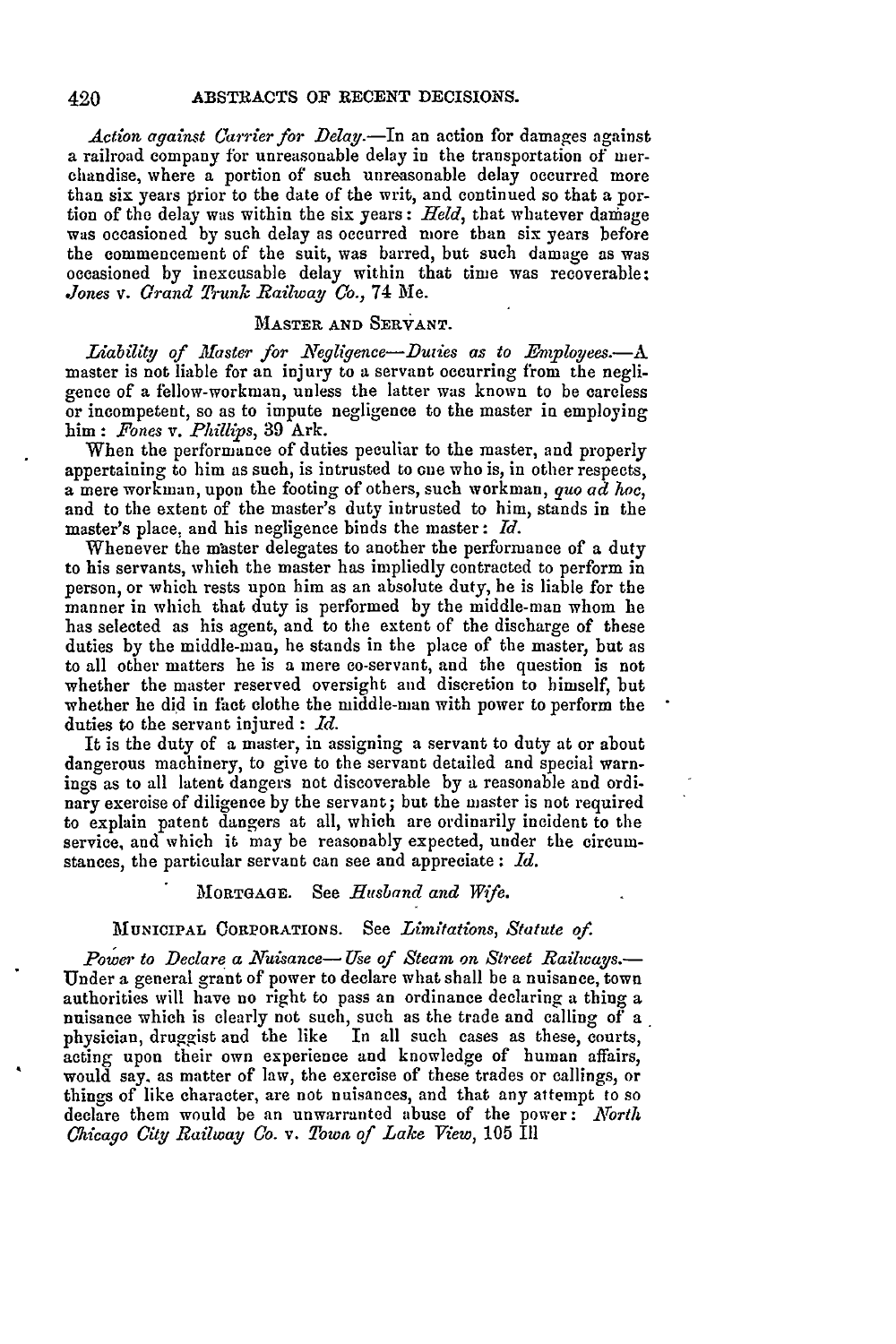Action against Carrier for Delay.-In an action for damages against a railroad company for unreasonable delay in the transportation of nierchandise, where a portion of such unreasonable delay occurred more than six years prior to the date of the writ, and continued so that a portion of the delay was within the six years: *Held,* that whatever damage was occasioned by such delay as occurred more than six years before the commencement of the suit, was barred, but such damage as was occasioned by inexcusable delay within that time was recoverable; *Jones v. Grand Trunk Railway Co.,* 74 Me.

### **MASTER AND SERVANT.**

*Liability of Master for Negligence-Duties as to Employees.*-A master is not liable for an injury to a servant occurring from the negligence of a fellow-workman, unless the latter was known to be careless or incompetent, so as to impute negligence to the master in employing him : *Fones v. Phillips,* 39 Ark.

When the performance of duties peculiar to the master, and properly appertaining to him as such, is intrusted to one who is, in other respects, a mere workman, upon the footing of others, such workman, *guo ad hoe,* and to the extent of the master's duty intrusted to him, stands in the master's place, and his negligence binds the master: *Id.*

Whenever the master delegates to another the performance of a duty to his servants, which the master has impliedly contracted to perform in person, or which rests upon him as an absolute duty, he is liable for the manner in which that duty is performed by the middle-man whom he has selected as his agent, and to the extent of the discharge of these duties by the middle-man, he stands in the place of the master, but as to all other matters he is a mere co-servant, and the question is not whether the master reserved oversight and discretion to himself, but whether he did in fact clothe the middle-man with power to perform the duties to the servant injured : *Id.*

It is the duty of a master, in assigning a servant to duty at or about dangerous machinery, to give to the servant detailed and special warnings as to all latent dangers not discoverable by a reasonable and ordinary exercise of diligence by the servant; but the master is not required to explain patent dangers at all, which are ordinarily incident to the service, and which it may be reasonably expected, under the circumstances, the particular servant can see and appreciate **:** *Id.*

# **MORTGAGE.** See *Husband and Wife.*

# **MUNICIPAL CORPORATIONS.** See *Limitations, Statute of.*

*Power to Declare a Nuisance- Use of Steam on Street Railways.-* Under a general grant of power to declare what shall be a nuisance, town authorities will have no right to pass an ordinance declaring a thing a nuisance which is clearly not such, such as the trade and calling of a physician, druggist and the like In all such cases as these, courts, acting upon their own experience and knowledge of human affairs, would say. as matter of law, the exercise of these trades or callings, or things of like character, are not nuisances, and that any attempt to so declare them would be an unwarranted abuse of the power: *North Chicago City Railway Co. v. Town of Lake View,* **105** Ill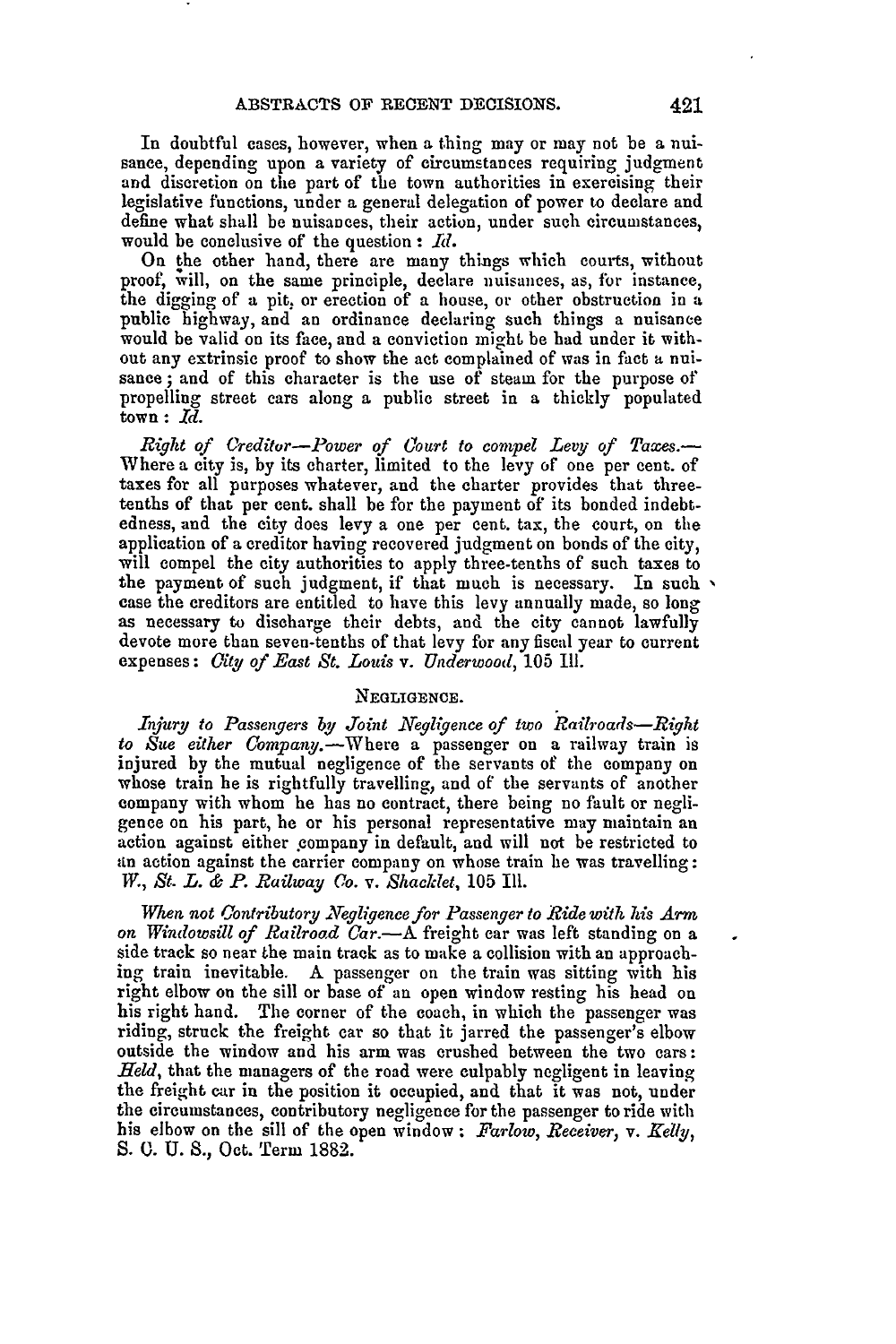In doubtful cases, however, when a thing may or may not be a nuisance, depending upon a variety of circumstances requiring judgment and discretion on the part of the town authorities in exercising their legislative functions, under a general delegation of power to declare and define what shall **be** nuisances, their action, under such circumstances, would be conclusive of the question : Id.

On the other hand, there are many things which courts, without proof, will, on the same principle, declare nuisances, as, for instance, the digging of a pit. or erection of a house, or other obstruction in a public highway, and an ordinance declaring such things a nuisance would be valid on its face, and a conviction might be had under it without any extrinsic proof to show the act complained of was in fact **a** nui- sance ; and of this character is the use of steam for the purpose of propelling street cars along a public street in a thickly populated town: *Id.*

*Right of (redtor-Power of Court to compel Levy of Ta xes.-* Where a city is, by its charter, limited to the levy of one per cent. of taxes for all purposes whatever, and the charter provides that threetenths of that per cent. shall be for the payment of its bonded indebtedness, and the city does levy a one per cent. tax, the court, on the application of a creditor having recovered judgment on bonds of the city, will compel the city authorities to apply three-tenths of such taxes to the payment of such judgment, if that much is necessary. In such  $\sim$  case the creditors are entitled to have this levy annually made, so long as necessary to discharge their debts, and the city cannot lawfully devote more than seven-tenths of that levy for any fiscal year to current expenses: *Gity of East St. Louis v. Underwood,* **105 I11.**

### **NEGLIGENCE.**

*Injury to Passengers by Joint Negligence of two Railroads-Right to Site either Company.-Where* a passenger on a railway train is injured by the mutual negligence of the servants of the company on whose train he is rightfully travelling and of the servants of another whose train he is rightfully travelling, and of the servants of another company with whom he has no contract, there being no fault or negligence on his part, he or his personal representative may maintain an action against either company in default, and will not be restricted to -in action against the carrier company on whose train he was travelling: *W., St. L. & P. Railway Co. v. Shacklet, 105 111.* 

*When not Contributory egligence for Passenger to Ride with his Arm on Windowsill of Railroad Car.-A* freight car was left standing on a side track so near the main track as to make a collision with an approach**ing** train inevitable. A passenger on the train was sitting with his right elbow on the sill or base of an open window resting his head on his right hand. The corner of the coach, in which the passenger was riding, struck the freight car so that it jarred the passenger's elbow outside the window and his arm was crushed between the two cars: *Held,* that the managers of the road were culpably negligent in leaving the freight car in the position it occupied, and that it was not, under the circumstances, contributory negligence for the passenger to ride with his elbow on the sill of the open window: *Farlow, Receiver, v. Kelly,* **S. 0.** U. **S.,** Oct. Term 1882.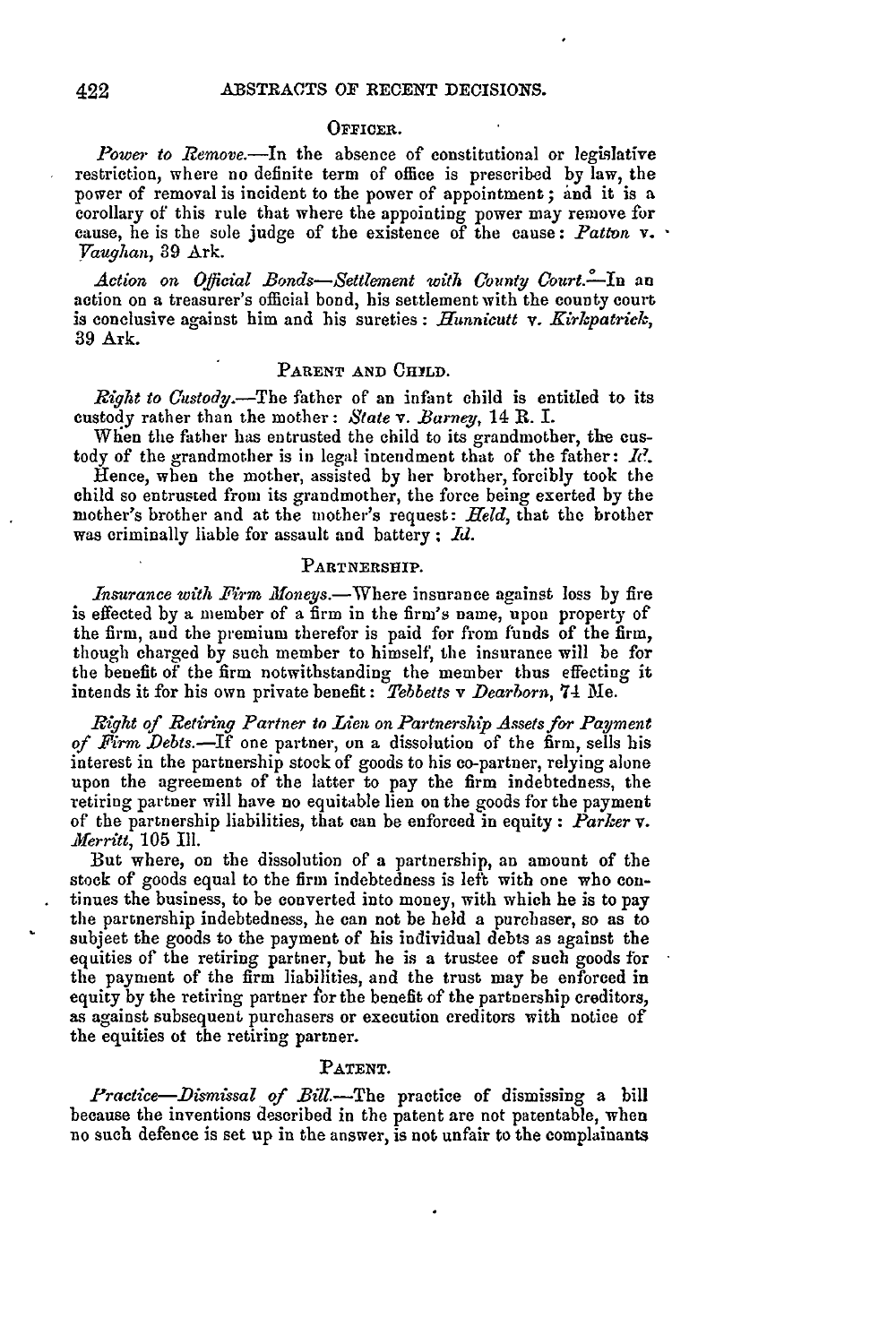#### **OFFICER.**

Power to Remove.-In the absence of constitutional or legislative restriction, where no definite term of office is prescribed by law, the power of removal is incident to the power of appointment; **and** it is a corollary of this rule that where the appointing power may remove for cause, he is the sole judge of the existence of the cause: *Patton* v. *raughan,* 39 Ark.

*Action on Oficial Bonds-Settlement with County' Court.--In* an action on a treasurer's official bond, his settlement with the county court is conclusive against him and his sureties: *Hunnicutt* **v.** *Kirkpatrick,* 39 Ark.

### PARENT AND **CHILD**.

*Riglht to Custody.-The* father of an infant child is entitled to its custody rather than the mother: *State v. Barney,* 14 **R.** I.

When the father has entrusted the child to its grandmother, **the** custody of the grandmother is in legal intendment that of the father: *Ic?.*

Hence, when the mother, assisted **by** her brother, forcibly took the child so entrusted from its grandmother, the force being exerted **by** the mother's brother and at the mother's request: *Held,* that the brother was criminally liable for assault and battery **;** *Id.*

#### **PARTNERSHIP.**

*Insurance with Firm Moneys.*—Where insurance against loss by fire is effected by a member of a firm in the firm's name, upon property of the firm, and the premium therefor is paid for from funds of the firm, though charged by such member to himself, the insurance will be for the benefit of the firm notwithstanding the member thus effecting it intends it for his own private benefit: *Tebbetts v Dearborn,* 74 Me.

*Right of Retiring Partner to Lien on Partnership Assets for Payment of Firm Debts.-If* one partner, on a dissolution of the firm, sells his interest in the partnership stock of goods to his co-partner, relying alone upon the agreement of the latter to pay the firm indebtedness, the retiring partner will have no equitable lien on the goods for the payment of the partnership liabilities, that can be enforced in equity : *Parker v. -Merritt,* 105 Ill.

But where, on the dissolution of a partnership, an amount of the stock of goods equal to the firm indebtedness is left with one who continues the business, to be converted into money, with which he is to pay the partnership indebtedness, he can not be held a purchaser, so as to subjeet the goods to the payment of his individual debts as against the equities of the retiring partner, but he is a trustee of such goods for the payment of the firm liabilities, and the trust may be enforced in equity by the retiring partner for the benefit of the partnership creditors, as against subsequent purchasers or execution creditors with notice of the equities of the retiring partner.

#### **PATENT.**

*Fractice-Dismissal of* Bill.-The practice of dismissing a bill because the inventions described in the patent are not patentable, when no such defence is set up in the answer, is not unfair to the complainants